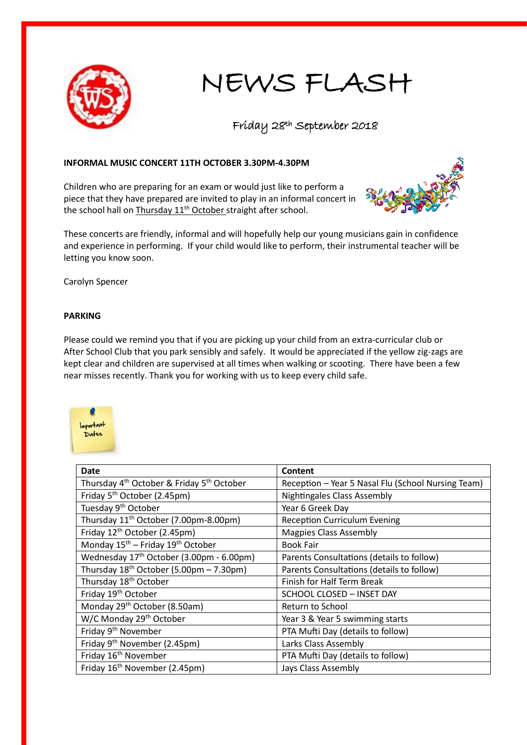

## NEWS FLASH

## Friday 28th September 2018

## **INFORMAL MUSIC CONCERT 11TH OCTOBER 3.30PM-4.30PM**

Children who are preparing for an exam or would just like to perform a piece that they have prepared are invited to play in an informal concert in the school hall on Thursday 11<sup>th</sup> October straight after school.



These concerts are friendly, informal and will hopefully help our young musicians gain in confidence and experience in performing. If your child would like to perform, their instrumental teacher will be letting you know soon.

Carolyn Spencer

## **PARKING**

Please could we remind you that if you are picking up your child from an extra-curricular club or After School Club that you park sensibly and safely. It would be appreciated if the yellow zig-zags are kept clear and children are supervised at all times when walking or scooting. There have been a few near misses recently. Thank you for working with us to keep every child safe.



| Date                                                              | Content                                            |
|-------------------------------------------------------------------|----------------------------------------------------|
| Thursday 4 <sup>th</sup> October & Friday 5 <sup>th</sup> October | Reception - Year 5 Nasal Flu (School Nursing Team) |
| Friday 5 <sup>th</sup> October (2.45pm)                           | <b>Nightingales Class Assembly</b>                 |
| Tuesday 9 <sup>th</sup> October                                   | Year 6 Greek Day                                   |
| Thursday 11 <sup>th</sup> October (7.00pm-8.00pm)                 | <b>Reception Curriculum Evening</b>                |
| Friday 12 <sup>th</sup> October (2.45pm)                          | <b>Magpies Class Assembly</b>                      |
| Monday 15 <sup>th</sup> - Friday 19 <sup>th</sup> October         | <b>Book Fair</b>                                   |
| Wednesday 17 <sup>th</sup> October (3.00pm - 6.00pm)              | Parents Consultations (details to follow)          |
| Thursday $18^{th}$ October (5.00pm - 7.30pm)                      | Parents Consultations (details to follow)          |
| Thursday 18 <sup>th</sup> October                                 | Finish for Half Term Break                         |
| Friday 19 <sup>th</sup> October                                   | <b>SCHOOL CLOSED - INSET DAY</b>                   |
| Monday 29 <sup>th</sup> October (8.50am)                          | Return to School                                   |
| W/C Monday 29 <sup>th</sup> October                               | Year 3 & Year 5 swimming starts                    |
| Friday 9 <sup>th</sup> November                                   | PTA Mufti Day (details to follow)                  |
| Friday 9 <sup>th</sup> November (2.45pm)                          | Larks Class Assembly                               |
| Friday 16 <sup>th</sup> November                                  | PTA Mufti Day (details to follow)                  |
| Friday 16 <sup>th</sup> November (2.45pm)                         | Jays Class Assembly                                |